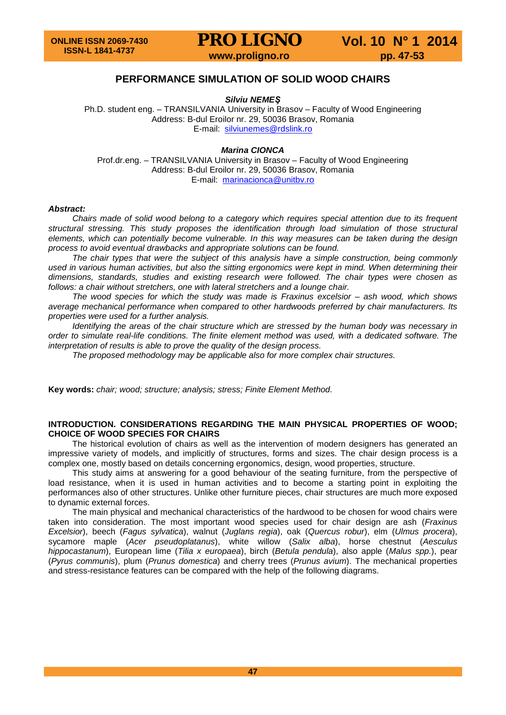## **PERFORMANCE SIMULATION OF SOLID WOOD CHAIRS**

*Silviu NEMEŞ*

Ph.D. student eng. – TRANSILVANIA University in Brasov – Faculty of Wood Engineering Address: B-dul Eroilor nr. 29, 50036 Brasov, Romania E-mail: [silviunemes@rdslink.ro](mailto:silviunemes@rdslink.ro)

#### *Marina CIONCA*

Prof.dr.eng. – TRANSILVANIA University in Brasov – Faculty of Wood Engineering Address: B-dul Eroilor nr. 29, 50036 Brasov, Romania E-mail: [marinacionca@unitbv.ro](mailto:marinacionca@unitbv.ro)

#### *Abstract:*

*Chairs made of solid wood belong to a category which requires special attention due to its frequent structural stressing. This study proposes the identification through load simulation of those structural elements, which can potentially become vulnerable. In this way measures can be taken during the design process to avoid eventual drawbacks and appropriate solutions can be found.*

*The chair types that were the subject of this analysis have a simple construction, being commonly used in various human activities, but also the sitting ergonomics were kept in mind. When determining their dimensions, standards, studies and existing research were followed. The chair types were chosen as follows: a chair without stretchers, one with lateral stretchers and a lounge chair.*

*The wood species for which the study was made is Fraxinus excelsior – ash wood, which shows average mechanical performance when compared to other hardwoods preferred by chair manufacturers. Its properties were used for a further analysis.*

*Identifying the areas of the chair structure which are stressed by the human body was necessary in order to simulate real-life conditions. The finite element method was used, with a dedicated software. The interpretation of results is able to prove the quality of the design process.*

*The proposed methodology may be applicable also for more complex chair structures.*

**Key words:** *chair; wood; structure; analysis; stress; Finite Element Method.*

#### **INTRODUCTION. CONSIDERATIONS REGARDING THE MAIN PHYSICAL PROPERTIES OF WOOD; CHOICE OF WOOD SPECIES FOR CHAIRS**

The historical evolution of chairs as well as the intervention of modern designers has generated an impressive variety of models, and implicitly of structures, forms and sizes. The chair design process is a complex one, mostly based on details concerning ergonomics, design, wood properties, structure.

This study aims at answering for a good behaviour of the seating furniture, from the perspective of load resistance, when it is used in human activities and to become a starting point in exploiting the performances also of other structures. Unlike other furniture pieces, chair structures are much more exposed to dynamic external forces.

The main physical and mechanical characteristics of the hardwood to be chosen for wood chairs were taken into consideration. The most important wood species used for chair design are ash (*Fraxinus Excelsior*), beech (*Fagus sylvatica*), walnut (*Juglans regia*), oak (*Quercus robur*), elm (*Ulmus procera*), sycamore maple (*Acer pseudoplatanus*), white willow (*Salix alba*), horse chestnut (*Aesculus hippocastanum*), European lime (*Tilia x europaea*), birch (*Betula pendula*), also apple (*Malus spp.*), pear (*Pyrus communis*), plum (*Prunus domestica*) and cherry trees (*Prunus avium*). The mechanical properties and stress-resistance features can be compared with the help of the following diagrams.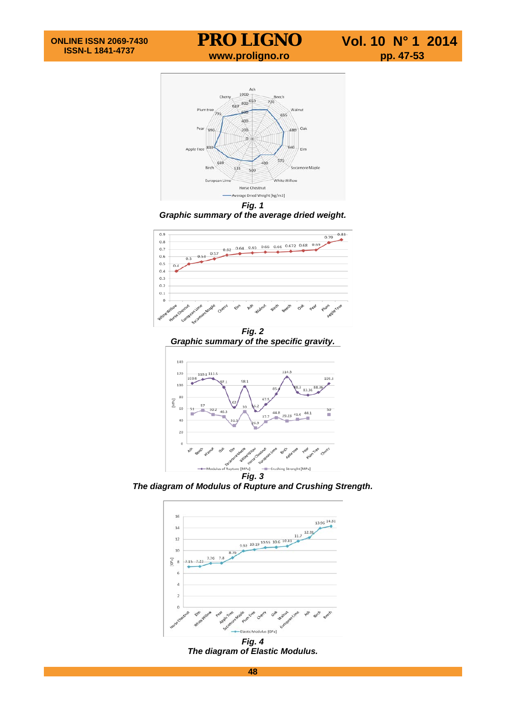

*Graphic summary of the average dried weight.*



*Graphic summary of the specific gravity.*



*The diagram of Modulus of Rupture and Crushing Strength.*



*Fig. 4 The diagram of Elastic Modulus.*

**48**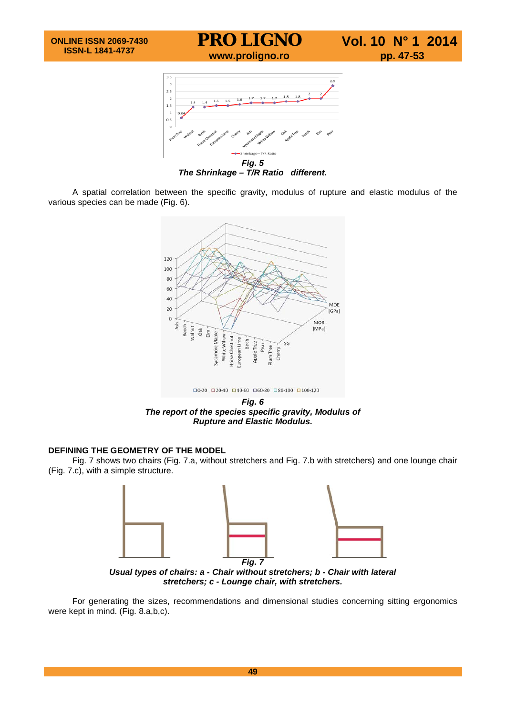

*The Shrinkage – T/R Ratio different.*

A spatial correlation between the specific gravity, modulus of rupture and elastic modulus of the various species can be made (Fig. 6).



*Fig. 6 The report of the species specific gravity, Modulus of Rupture and Elastic Modulus.*

#### **DEFINING THE GEOMETRY OF THE MODEL**

Fig. 7 shows two chairs (Fig. 7.a, without stretchers and Fig. 7.b with stretchers) and one lounge chair (Fig. 7.c), with a simple structure.



*Usual types of chairs: a - Chair without stretchers; b - Chair with lateral stretchers; c - Lounge chair, with stretchers.*

For generating the sizes, recommendations and dimensional studies concerning sitting ergonomics were kept in mind. (Fig. 8.a,b,c).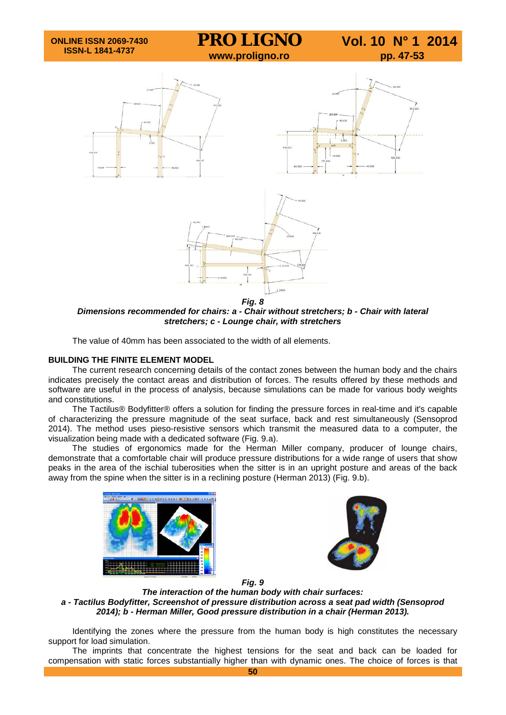

*Dimensions recommended for chairs: a - Chair without stretchers; b - Chair with lateral stretchers; c - Lounge chair, with stretchers*

The value of 40mm has been associated to the width of all elements.

#### **BUILDING THE FINITE ELEMENT MODEL**

The current research concerning details of the contact zones between the human body and the chairs indicates precisely the contact areas and distribution of forces. The results offered by these methods and software are useful in the process of analysis, because simulations can be made for various body weights and constitutions.

The Tactilus® Bodyfitter® offers a solution for finding the pressure forces in real-time and it's capable of characterizing the pressure magnitude of the seat surface, back and rest simultaneously (Sensoprod 2014). The method uses pieso-resistive sensors which transmit the measured data to a computer, the visualization being made with a dedicated software (Fig. 9.a).

The studies of ergonomics made for the Herman Miller company, producer of lounge chairs, demonstrate that a comfortable chair will produce pressure distributions for a wide range of users that show peaks in the area of the ischial tuberosities when the sitter is in an upright posture and areas of the back away from the spine when the sitter is in a reclining posture (Herman 2013) (Fig. 9.b).





*Fig. 9*

*The interaction of the human body with chair surfaces: a - Tactilus Bodyfitter, Screenshot of pressure distribution across a seat pad width (Sensoprod 2014); b - Herman Miller, Good pressure distribution in a chair (Herman 2013).*

Identifying the zones where the pressure from the human body is high constitutes the necessary support for load simulation.

The imprints that concentrate the highest tensions for the seat and back can be loaded for compensation with static forces substantially higher than with dynamic ones. The choice of forces is that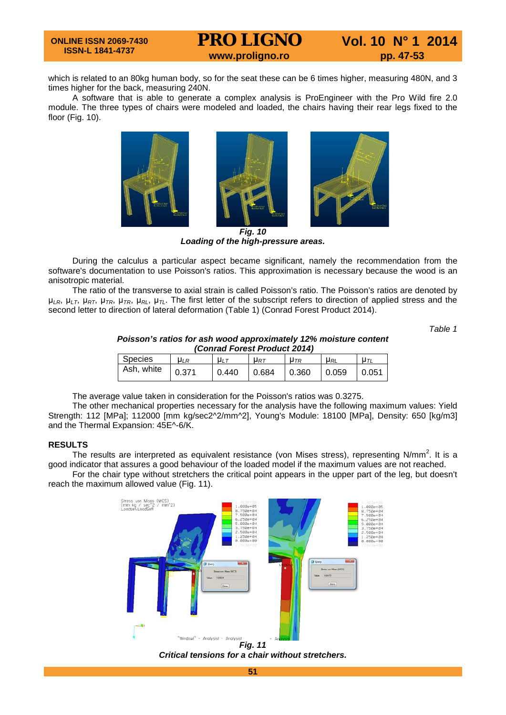## **PRO LIGNO** Vol. 10 N° 1 2014<br>www.proligno.ro pp. 47-53

which is related to an 80kg human body, so for the seat these can be 6 times higher, measuring 480N, and 3 times higher for the back, measuring 240N.

A software that is able to generate a complex analysis is ProEngineer with the Pro Wild fire 2.0 module. The three types of chairs were modeled and loaded, the chairs having their rear legs fixed to the floor (Fig. 10).



*Loading of the high-pressure areas.*

During the calculus a particular aspect became significant, namely the recommendation from the software's documentation to use Poisson's ratios. This approximation is necessary because the wood is an anisotropic material.

The ratio of the transverse to axial strain is called Poisson's ratio. The Poisson's ratios are denoted by μ*LR*, μ*LT*, μ*RT*, μ*TR*, μ*TR*, μ*RL*, μ*TL*. The first letter of the subscript refers to direction of applied stress and the second letter to direction of lateral deformation (Table 1) (Conrad Forest Product 2014).

*Table 1*

*Poisson's ratios for ash wood approximately 12% moisture content (Conrad Forest Product 2014)*

| <u> 88888888888888888888888</u> |             |         |          |            |            |             |
|---------------------------------|-------------|---------|----------|------------|------------|-------------|
| Species                         | $\mu$ / $R$ | $\mu_L$ | $U_{RT}$ | $\mu_{TR}$ | $\mu_{RL}$ | $\mu$ $\pi$ |
| Ash, white                      | 0.371       | 0.440   | 0.684    | 0.360      | 0.059      | 0.051       |

The average value taken in consideration for the Poisson's ratios was 0.3275.

The other mechanical properties necessary for the analysis have the following maximum values: Yield Strength: 112 [MPa]; 112000 [mm kg/sec2^2/mm^2], Young's Module: 18100 [MPa], Density: 650 [kg/m3] and the Thermal Expansion: 45E^-6/K.

#### **RESULTS**

The results are interpreted as equivalent resistance (von Mises stress), representing N/mm<sup>2</sup>. It is a good indicator that assures a good behaviour of the loaded model if the maximum values are not reached.

For the chair type without stretchers the critical point appears in the upper part of the leg, but doesn't reach the maximum allowed value (Fig. 11).



*Critical tensions for a chair without stretchers.*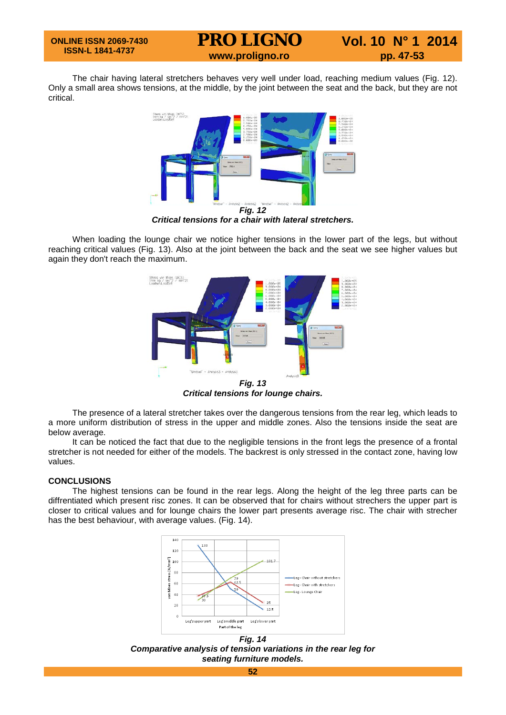# **PRO LIGNO** Vol. 10 N° 1 2014

The chair having lateral stretchers behaves very well under load, reaching medium values (Fig. 12). Only a small area shows tensions, at the middle, by the joint between the seat and the back, but they are not critical.



*Critical tensions for a chair with lateral stretchers.*

When loading the lounge chair we notice higher tensions in the lower part of the legs, but without reaching critical values (Fig. 13). Also at the joint between the back and the seat we see higher values but again they don't reach the maximum.



*Critical tensions for lounge chairs.*

The presence of a lateral stretcher takes over the dangerous tensions from the rear leg, which leads to a more uniform distribution of stress in the upper and middle zones. Also the tensions inside the seat are below average.

It can be noticed the fact that due to the negligible tensions in the front legs the presence of a frontal stretcher is not needed for either of the models. The backrest is only stressed in the contact zone, having low values.

#### **CONCLUSIONS**

The highest tensions can be found in the rear legs. Along the height of the leg three parts can be diffrentiated which present risc zones. It can be observed that for chairs without strechers the upper part is closer to critical values and for lounge chairs the lower part presents average risc. The chair with strecher has the best behaviour, with average values. (Fig. 14).



*Fig. 14 Comparative analysis of tension variations in the rear leg for seating furniture models.*

**52**